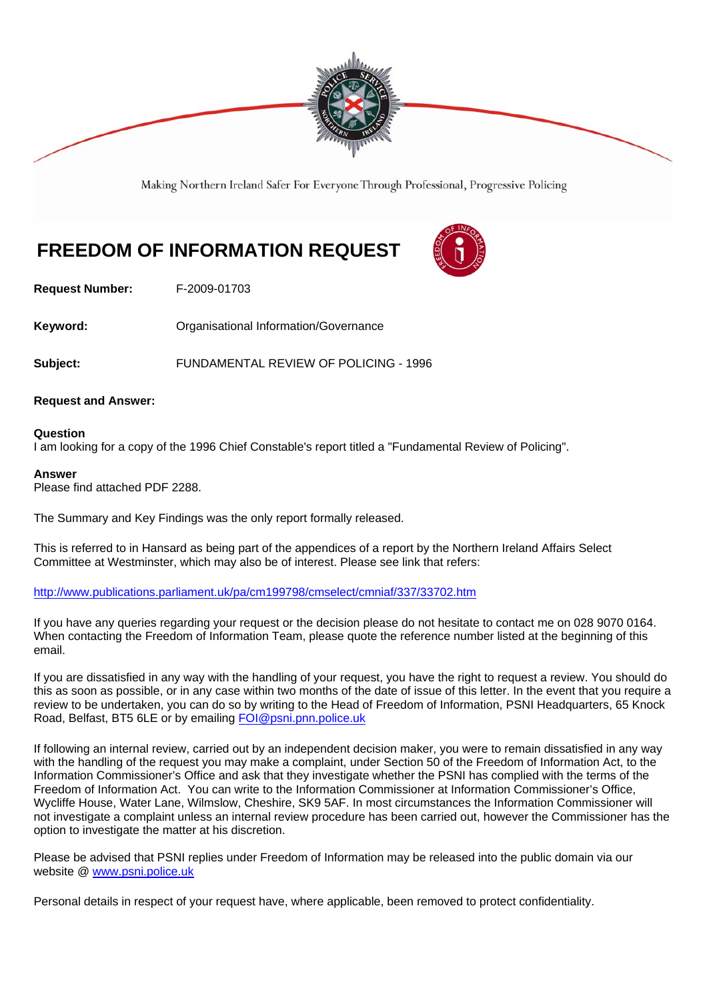

Making Northern Ireland Safer For Everyone Through Professional, Progressive Policing

## **FREEDOM OF INFORMATION REQUEST**

**Request Number:** F-2009-01703

**Keyword: Comparent Comparent Constrainers** Organisational Information/Governance

**Subject:** FUNDAMENTAL REVIEW OF POLICING - 1996

## **Request and Answer:**

### **Question**

I am looking for a copy of the 1996 Chief Constable's report titled a "Fundamental Review of Policing".

### **Answer**

Please find attached PDF 2288.

The Summary and Key Findings was the only report formally released.

This is referred to in Hansard as being part of the appendices of a report by the Northern Ireland Affairs Select Committee at Westminster, which may also be of interest. Please see link that refers:

http://www.publications.parliament.uk/pa/cm199798/cmselect/cmniaf/337/33702.htm

If you have any queries regarding your request or the decision please do not hesitate to contact me on 028 9070 0164. When contacting the Freedom of Information Team, please quote the reference number listed at the beginning of this email.

If you are dissatisfied in any way with the handling of your request, you have the right to request a review. You should do this as soon as possible, or in any case within two months of the date of issue of this letter. In the event that you require a review to be undertaken, you can do so by writing to the Head of Freedom of Information, PSNI Headquarters, 65 Knock Road, Belfast, BT5 6LE or by emailing FOI@psni.pnn.police.uk

If following an internal review, carried out by an independent decision maker, you were to remain dissatisfied in any way with the handling of the request you may make a complaint, under Section 50 of the Freedom of Information Act, to the Information Commissioner's Office and ask that they investigate whether the PSNI has complied with the terms of the Freedom of Information Act. You can write to the Information Commissioner at Information Commissioner's Office, Wycliffe House, Water Lane, Wilmslow, Cheshire, SK9 5AF. In most circumstances the Information Commissioner will not investigate a complaint unless an internal review procedure has been carried out, however the Commissioner has the option to investigate the matter at his discretion.

Please be advised that PSNI replies under Freedom of Information may be released into the public domain via our website @ www.psni.police.uk

Personal details in respect of your request have, where applicable, been removed to protect confidentiality.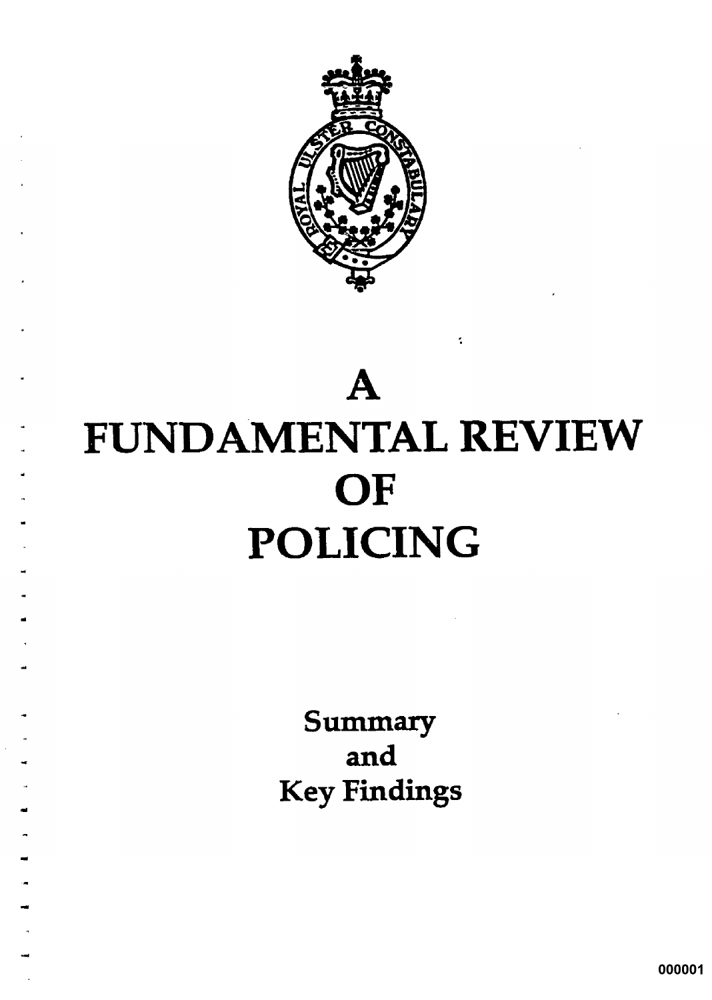

# $\mathbf A$ **FUNDAMENTAL REVIEW** OF **POLICING**

Summary and **Key Findings** 

000001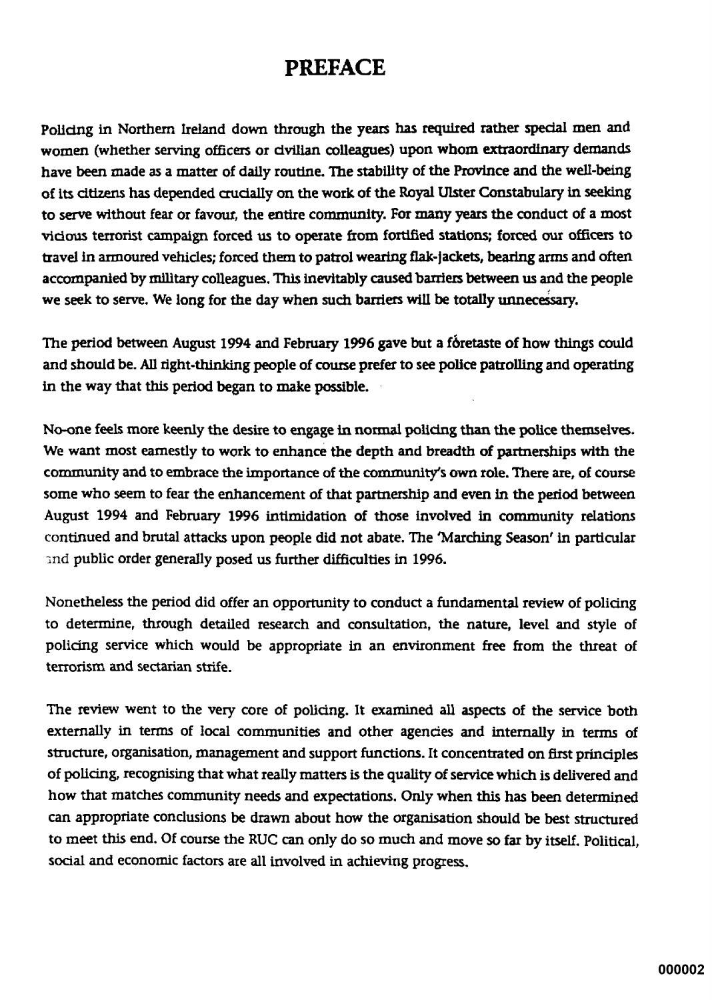## **PREFACE**

Policing in Northern Ireland down through the years has required rather special men and women (whether serving officers or civilian colleagues) upon whom extraordinary demands have been made as a matter of daily routine. The stability of the Province and the well-being of its citizens has depended crucially on the work of the Royal Ulster Constabulary in seeking to serve without fear or favour, the entire community. For many years the conduct of a most vicious terrorist campaign forced us to operate from fortified stations; forced our officers to travel in armoured vehicles; forced them to patrol wearing flak-jackets, bearing arms and often accompanied by military colleagues. This inevitably caused barriers between us and the people we seek to serve. We long for the day when such barriers will be totally unnecessary.

The period between August 1994 and February 1996 gave but a fóretaste of how things could and should be. All right-thinking people of course prefer to see police patrolling and operating in the way that this period began to make possible.

No-one feels more keenly the desire to engage in normal policing than the police themselves. We want most earnestly to work to enhance the depth and breadth of partnerships with the community and to embrace the importance of the community's own role. There are, of course some who seem to fear the enhancement of that partnership and even in the period between August 1994 and February 1996 intimidation of those involved in community relations continued and brutal attacks upon people did not abate. The 'Marching Season' in particular and public order generally posed us further difficulties in 1996.

Nonetheless the period did offer an opportunity to conduct a fundamental review of policing to determine, through detailed research and consultation, the nature, level and style of policing service which would be appropriate in an environment free from the threat of terrorism and sectarian strife.

The review went to the very core of policing. It examined all aspects of the service both externally in terms of local communities and other agencies and internally in terms of structure, organisation, management and support functions. It concentrated on first principles of policing, recognising that what really matters is the quality of service which is delivered and how that matches community needs and expectations. Only when this has been determined can appropriate conclusions be drawn about how the organisation should be best structured to meet this end. Of course the RUC can only do so much and move so far by itself. Political. social and economic factors are all involved in achieving progress.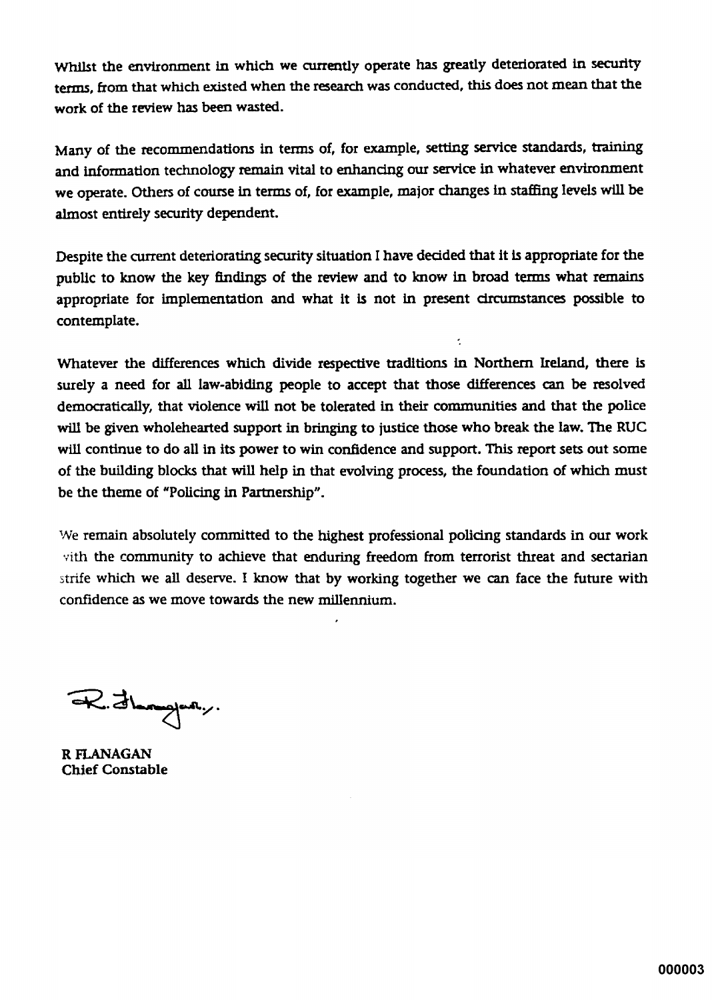Whilst the environment in which we currently operate has greatly deteriorated in security terms, from that which existed when the research was conducted, this does not mean that the work of the review has been wasted.

Many of the recommendations in terms of, for example, setting service standards, training and information technology remain vital to enhancing our service in whatever environment we operate. Others of course in terms of, for example, major changes in staffing levels will be almost entirely security dependent.

Despite the current deteriorating security situation I have decided that it is appropriate for the public to know the key findings of the review and to know in broad terms what remains appropriate for implementation and what it is not in present circumstances possible to contemplate.

Whatever the differences which divide respective traditions in Northern Ireland, there is surely a need for all law-abiding people to accept that those differences can be resolved democratically, that violence will not be tolerated in their communities and that the police will be given wholehearted support in bringing to justice those who break the law. The RUC will continue to do all in its power to win confidence and support. This report sets out some of the building blocks that will help in that evolving process, the foundation of which must be the theme of "Policing in Partnership".

We remain absolutely committed to the highest professional policing standards in our work vith the community to achieve that enduring freedom from terrorist threat and sectarian strife which we all deserve. I know that by working together we can face the future with confidence as we move towards the new millennium.

R. Jamper,

R FLANAGAN **Chief Constable**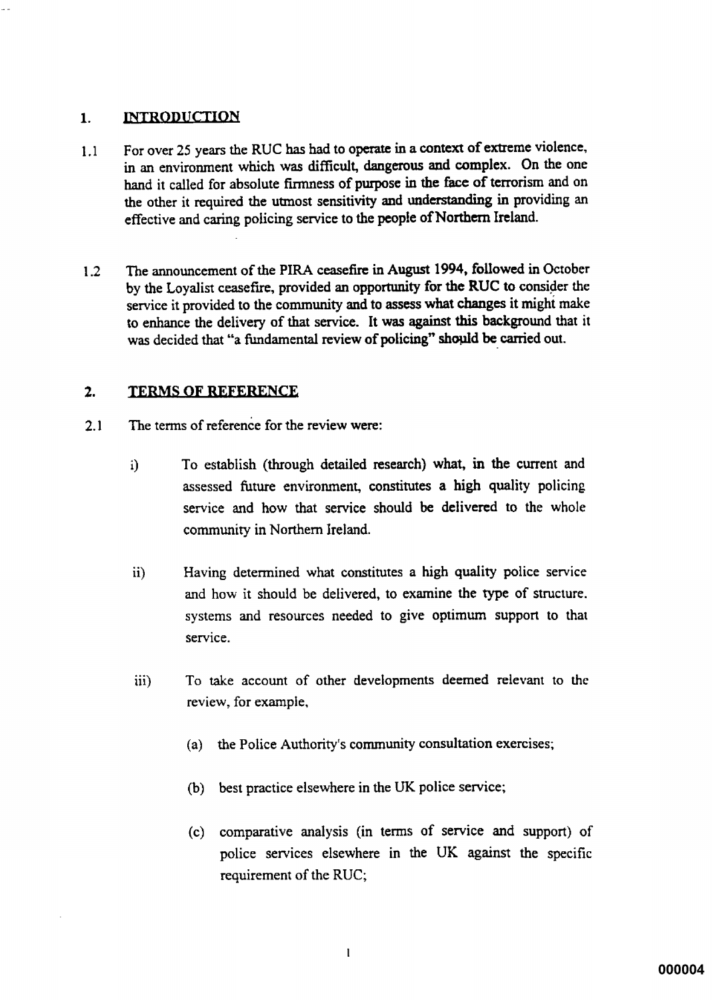#### **INTRODUCTION**  $\blacksquare$

- For over 25 years the RUC has had to operate in a context of extreme violence,  $1.1$ in an environment which was difficult, dangerous and complex. On the one hand it called for absolute firmness of purpose in the face of terrorism and on the other it required the utmost sensitivity and understanding in providing an effective and caring policing service to the people of Northern Ireland.
- The announcement of the PIRA ceasefire in August 1994, followed in October  $12<sup>°</sup>$ by the Loyalist ceasefire, provided an opportunity for the RUC to consider the service it provided to the community and to assess what changes it might make to enhance the delivery of that service. It was against this background that it was decided that "a fundamental review of policing" should be carried out.

#### $2.$ **TERMS OF REFERENCE**

- $21$ The terms of reference for the review were:
	- To establish (through detailed research) what, in the current and  $i)$ assessed future environment, constitutes a high quality policing service and how that service should be delivered to the whole community in Northern Ireland.
	- Having determined what constitutes a high quality police service  $\mathbf{ii}$ and how it should be delivered, to examine the type of structure. systems and resources needed to give optimum support to that service.
	- To take account of other developments deemed relevant to the iii) review, for example,
		- (a) the Police Authority's community consultation exercises;
		- (b) best practice elsewhere in the UK police service;
		- (c) comparative analysis (in terms of service and support) of police services elsewhere in the UK against the specific requirement of the RUC;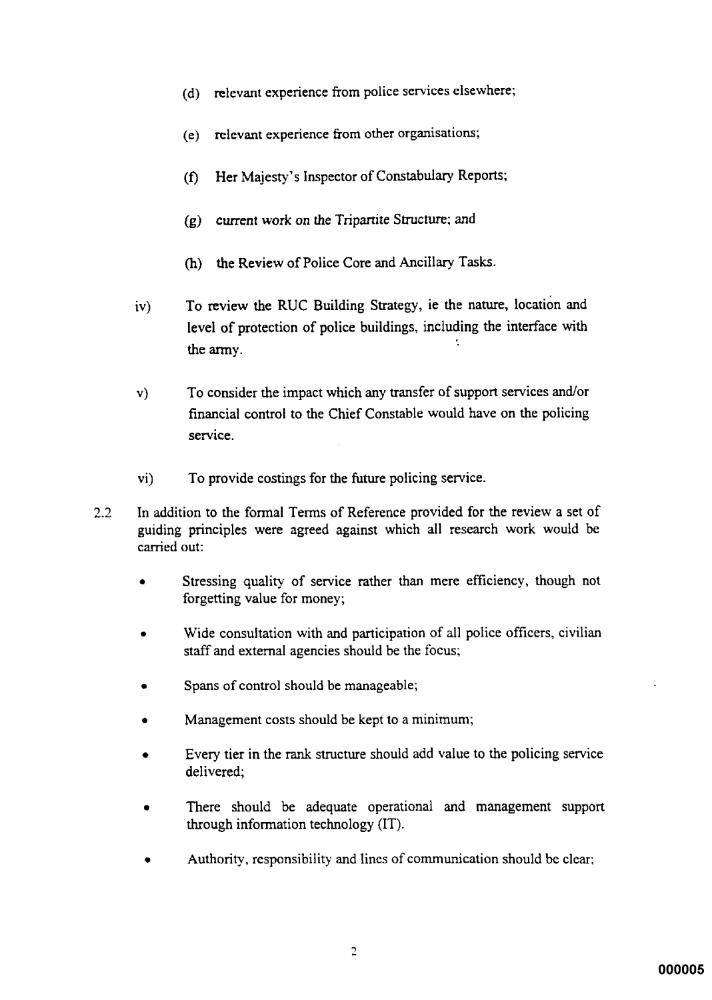- (d) relevant experience from police services elsewhere;
- relevant experience from other organisations;  $(e)$
- Her Majesty's Inspector of Constabulary Reports;  $(f)$
- $(g)$  current work on the Tripartite Structure; and
- (h) the Review of Police Core and Ancillary Tasks.
- To review the RUC Building Strategy, ie the nature, location and  $iv)$ level of protection of police buildings, including the interface with k. the army.
- To consider the impact which any transfer of support services and/or  $\mathbf{v}$ financial control to the Chief Constable would have on the policing service.
- To provide costings for the future policing service. vi)
- In addition to the formal Terms of Reference provided for the review a set of  $2.2^{\circ}$ guiding principles were agreed against which all research work would be carried out:
	- Stressing quality of service rather than mere efficiency, though not forgetting value for money;
	- Wide consultation with and participation of all police officers, civilian staff and external agencies should be the focus;
	- Spans of control should be manageable;
	- Management costs should be kept to a minimum;
	- Every tier in the rank structure should add value to the policing service delivered;
	- There should be adequate operational and management support through information technology (IT).
	- Authority, responsibility and lines of communication should be clear;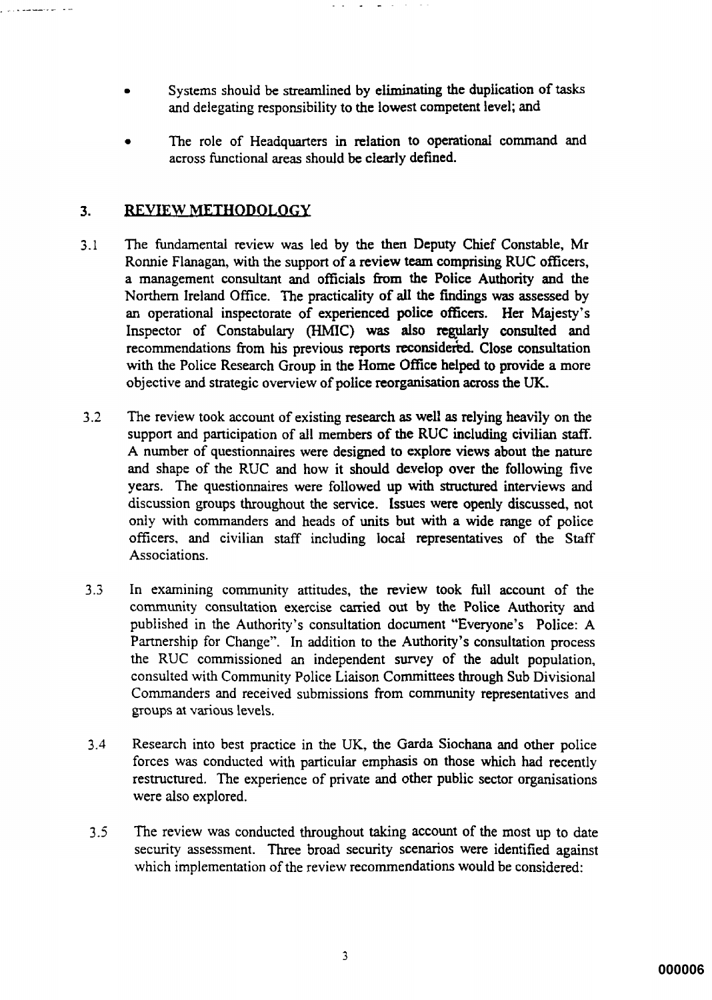- Systems should be streamlined by eliminating the duplication of tasks and delegating responsibility to the lowest competent level; and
- The role of Headquarters in relation to operational command and across functional areas should be clearly defined.

#### REVIEW METHODOLOGY  $3.$

مام المنتصف من الأربي

- The fundamental review was led by the then Deputy Chief Constable, Mr  $3.1$ Ronnie Flanagan, with the support of a review team comprising RUC officers, a management consultant and officials from the Police Authority and the Northern Ireland Office. The practicality of all the findings was assessed by an operational inspectorate of experienced police officers. Her Majesty's Inspector of Constabulary (HMIC) was also regularly consulted and recommendations from his previous reports reconsidered. Close consultation with the Police Research Group in the Home Office helped to provide a more objective and strategic overview of police reorganisation across the UK.
- $3.2$ The review took account of existing research as well as relying heavily on the support and participation of all members of the RUC including civilian staff. A number of questionnaires were designed to explore views about the nature and shape of the RUC and how it should develop over the following five years. The questionnaires were followed up with structured interviews and discussion groups throughout the service. Issues were openly discussed, not only with commanders and heads of units but with a wide range of police officers, and civilian staff including local representatives of the Staff Associations.
- In examining community attitudes, the review took full account of the  $3.3$ community consultation exercise carried out by the Police Authority and published in the Authority's consultation document "Everyone's Police: A Partnership for Change". In addition to the Authority's consultation process the RUC commissioned an independent survey of the adult population, consulted with Community Police Liaison Committees through Sub Divisional Commanders and received submissions from community representatives and groups at various levels.
- $3.4$ Research into best practice in the UK, the Garda Siochana and other police forces was conducted with particular emphasis on those which had recently restructured. The experience of private and other public sector organisations were also explored.
- $3.5$ The review was conducted throughout taking account of the most up to date security assessment. Three broad security scenarios were identified against which implementation of the review recommendations would be considered: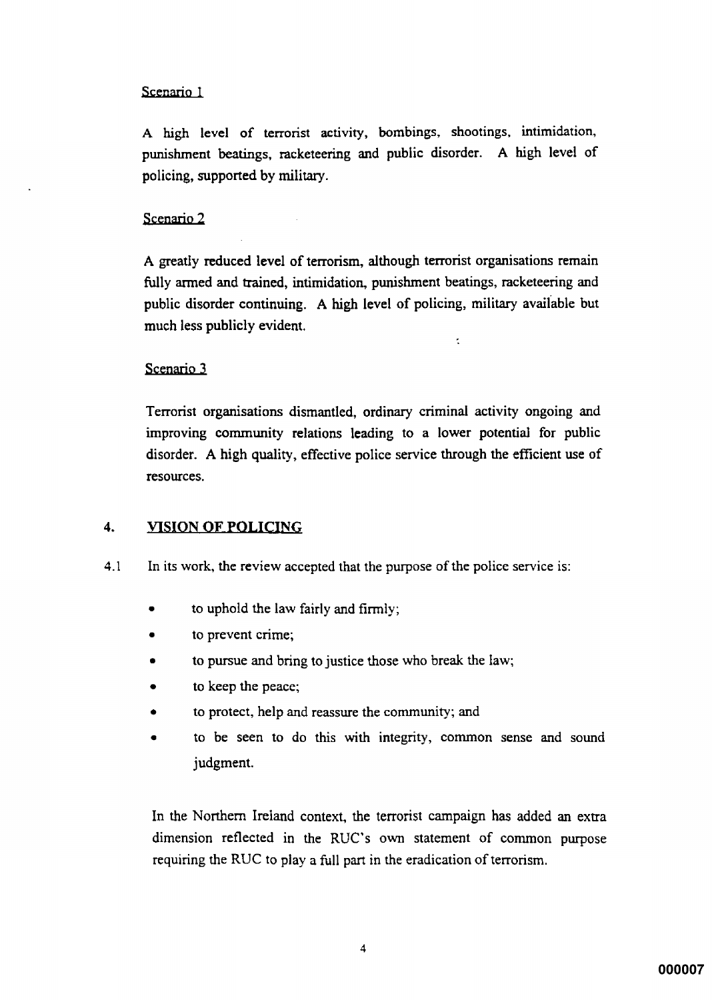## Scenario 1

A high level of terrorist activity, bombings, shootings, intimidation, punishment beatings, racketeering and public disorder. A high level of policing, supported by military.

## Scenario 2

A greatly reduced level of terrorism, although terrorist organisations remain fully armed and trained, intimidation, punishment beatings, racketeering and public disorder continuing. A high level of policing, military available but much less publicly evident.

ł,

## Scenario 3

Terrorist organisations dismantled, ordinary criminal activity ongoing and improving community relations leading to a lower potential for public disorder. A high quality, effective police service through the efficient use of resources.

#### $\overline{4}$ . **VISION OF POLICING**

- $4.1$ In its work, the review accepted that the purpose of the police service is:
	- to uphold the law fairly and firmly;
	- to prevent crime; ă
	- to pursue and bring to justice those who break the law;
	- to keep the peace;
	- to protect, help and reassure the community; and
	- to be seen to do this with integrity, common sense and sound judgment.

In the Northern Ireland context, the terrorist campaign has added an extra dimension reflected in the RUC's own statement of common purpose requiring the RUC to play a full part in the eradication of terrorism.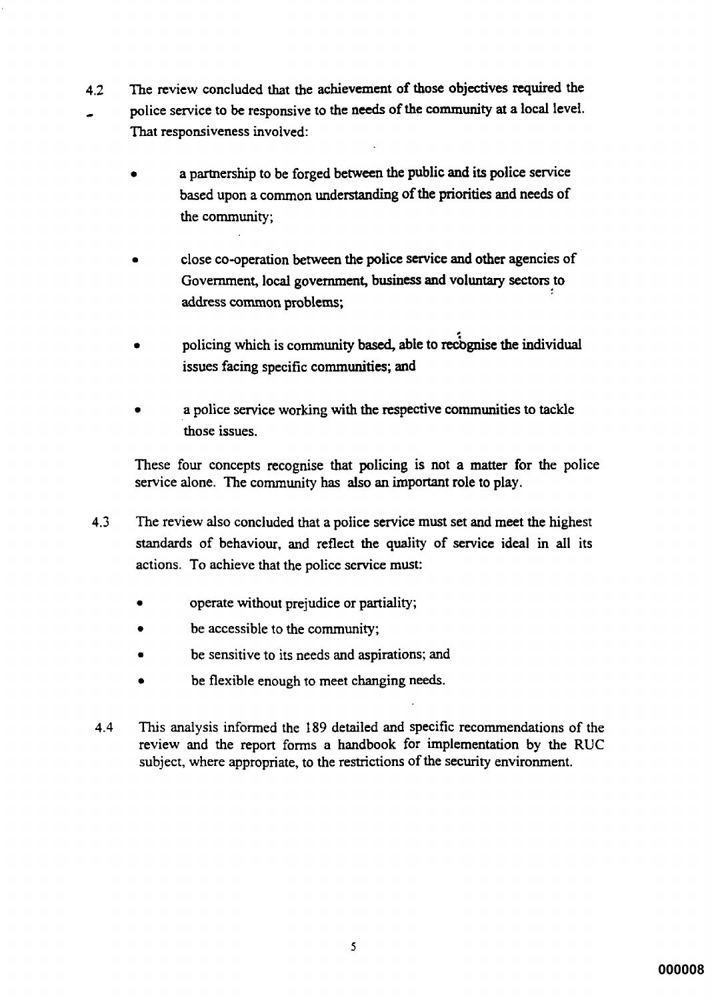- The review concluded that the achievement of those objectives required the  $4.2$ police service to be responsive to the needs of the community at a local level. That responsiveness involved:
	- a partnership to be forged between the public and its police service based upon a common understanding of the priorities and needs of the community:
	- close co-operation between the police service and other agencies of Government, local government, business and voluntary sectors to address common problems;
	- policing which is community based, able to recognise the individual issues facing specific communities; and
	- a police service working with the respective communities to tackle those issues.

These four concepts recognise that policing is not a matter for the police service alone. The community has also an important role to play.

- $4.3$ The review also concluded that a police service must set and meet the highest standards of behaviour, and reflect the quality of service ideal in all its actions. To achieve that the police service must:
	- operate without prejudice or partiality;
	- be accessible to the community;
	- be sensitive to its needs and aspirations; and
	- be flexible enough to meet changing needs.
- This analysis informed the 189 detailed and specific recommendations of the 4.4 review and the report forms a handbook for implementation by the RUC subject, where appropriate, to the restrictions of the security environment.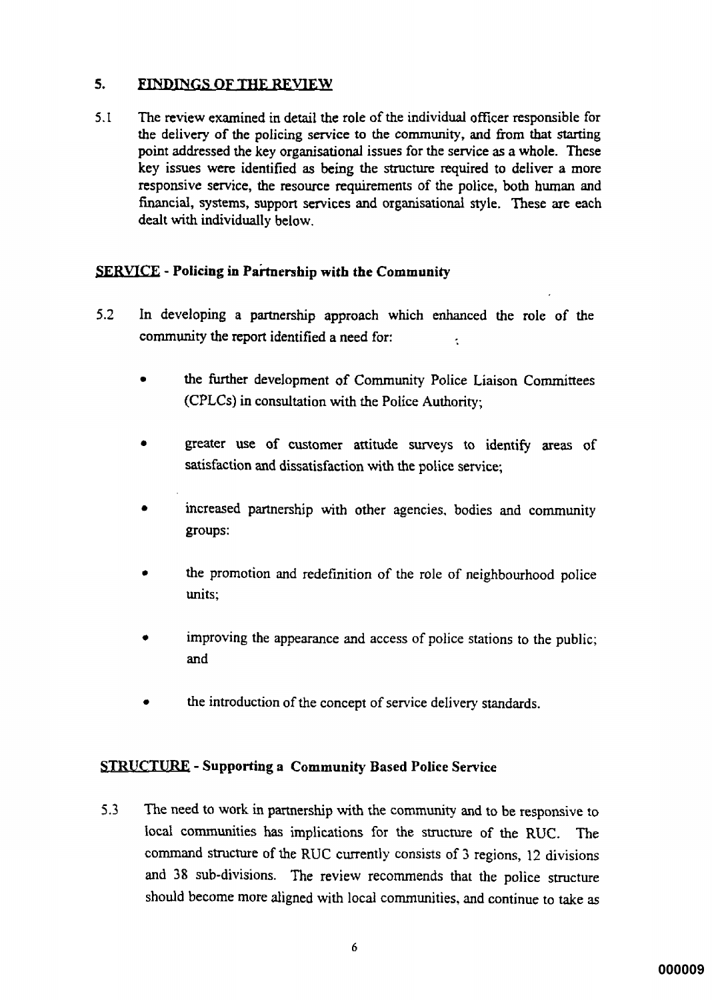#### $5.$ **FINDINGS OF THE REVIEW**

The review examined in detail the role of the individual officer responsible for  $5.1$ the delivery of the policing service to the community, and from that starting point addressed the key organisational issues for the service as a whole. These key issues were identified as being the structure required to deliver a more responsive service, the resource requirements of the police, both human and financial, systems, support services and organisational style. These are each dealt with individually below.

## **SERVICE** - Policing in Partnership with the Community

- $5.2$ In developing a partnership approach which enhanced the role of the community the report identified a need for:  $\epsilon$ 
	- the further development of Community Police Liaison Committees (CPLCs) in consultation with the Police Authority;
	- greater use of customer attitude surveys to identify areas of satisfaction and dissatisfaction with the police service:
	- increased partnership with other agencies, bodies and community groups:
	- the promotion and redefinition of the role of neighbourhood police units:
	- improving the appearance and access of police stations to the public; and
	- the introduction of the concept of service delivery standards.

## **STRUCTURE** - Supporting a Community Based Police Service

The need to work in partnership with the community and to be responsive to  $5.3$ local communities has implications for the structure of the RUC. The command structure of the RUC currently consists of 3 regions, 12 divisions and 38 sub-divisions. The review recommends that the police structure should become more aligned with local communities, and continue to take as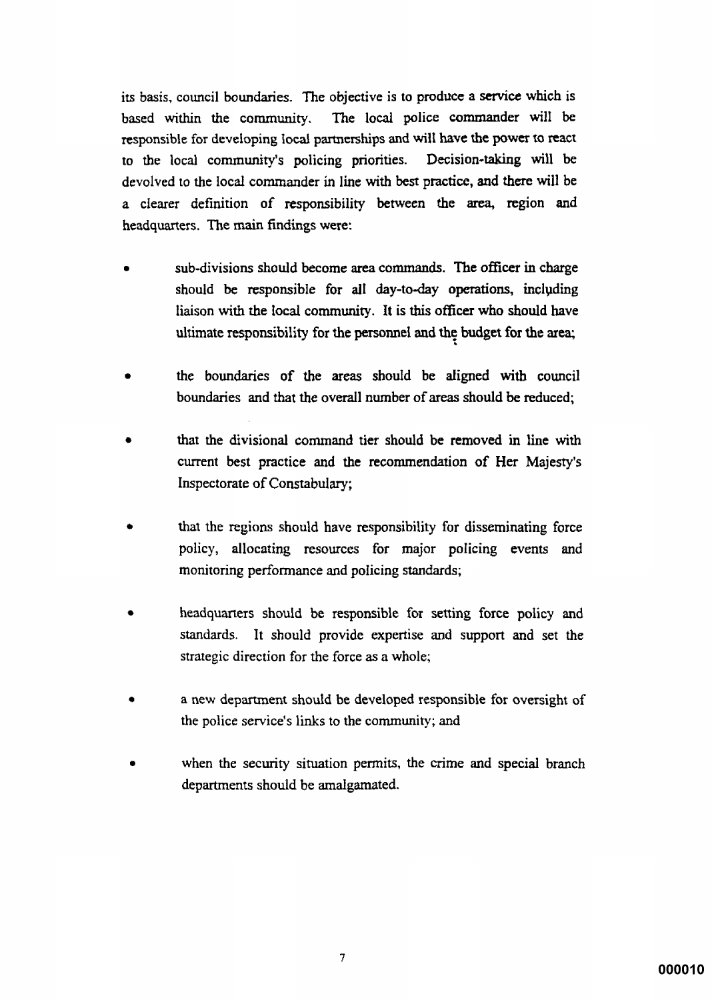its basis, council boundaries. The objective is to produce a service which is The local police commander will be based within the community. responsible for developing local partnerships and will have the power to react to the local community's policing priorities. Decision-taking will be devolved to the local commander in line with best practice, and there will be a clearer definition of responsibility between the area, region and headquarters. The main findings were:

- sub-divisions should become area commands. The officer in charge should be responsible for all day-to-day operations, including liaison with the local community. It is this officer who should have ultimate responsibility for the personnel and the budget for the area;
- the boundaries of the areas should be aligned with council boundaries and that the overall number of areas should be reduced;
- that the divisional command tier should be removed in line with current best practice and the recommendation of Her Majesty's Inspectorate of Constabulary;
- that the regions should have responsibility for disseminating force policy, allocating resources for major policing events and monitoring performance and policing standards;
- headquarters should be responsible for setting force policy and standards. It should provide expertise and support and set the strategic direction for the force as a whole;
- a new department should be developed responsible for oversight of the police service's links to the community; and
- when the security situation permits, the crime and special branch departments should be amalgamated.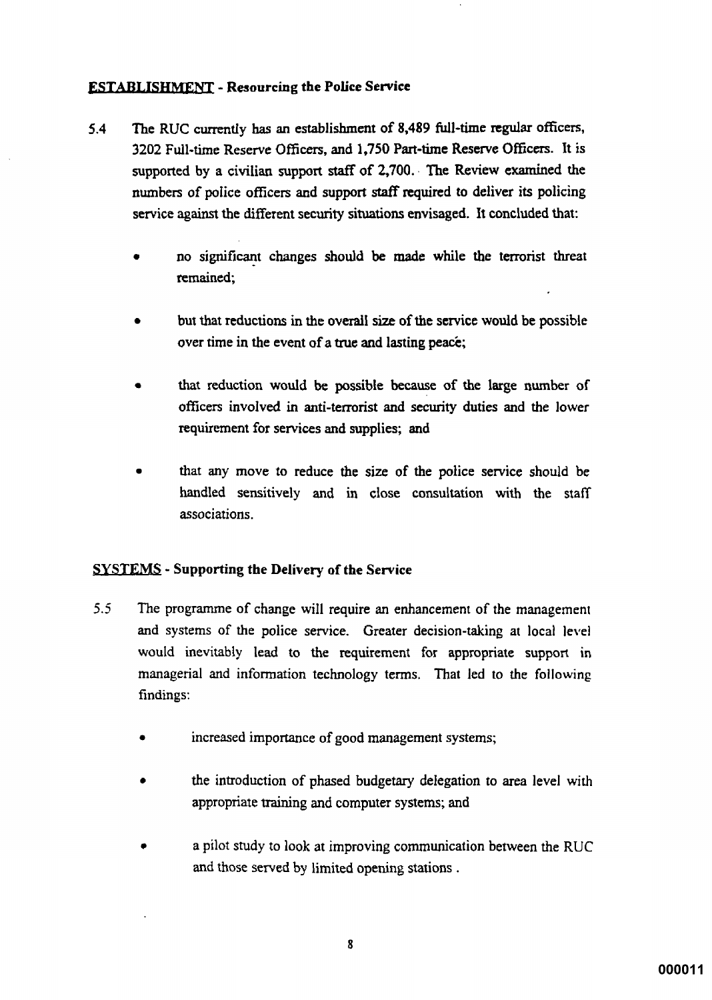## **ESTABLISHMENT - Resourcing the Police Service**

- $5.4$ The RUC currently has an establishment of 8,489 full-time regular officers, 3202 Full-time Reserve Officers, and 1,750 Part-time Reserve Officers. It is supported by a civilian support staff of 2,700. The Review examined the numbers of police officers and support staff required to deliver its policing service against the different security situations envisaged. It concluded that:
	- no significant changes should be made while the terrorist threat remained:
	- but that reductions in the overall size of the service would be possible over time in the event of a true and lasting peace;
	- that reduction would be possible because of the large number of officers involved in anti-terrorist and security duties and the lower requirement for services and supplies; and
	- that any move to reduce the size of the police service should be handled sensitively and in close consultation with the staff associations.

## **SYSTEMS** - Supporting the Delivery of the Service

- $5.5$ The programme of change will require an enhancement of the management and systems of the police service. Greater decision-taking at local level would inevitably lead to the requirement for appropriate support in managerial and information technology terms. That led to the following findings:
	- increased importance of good management systems;
	- the introduction of phased budgetary delegation to area level with appropriate training and computer systems; and
	- a pilot study to look at improving communication between the RUC and those served by limited opening stations.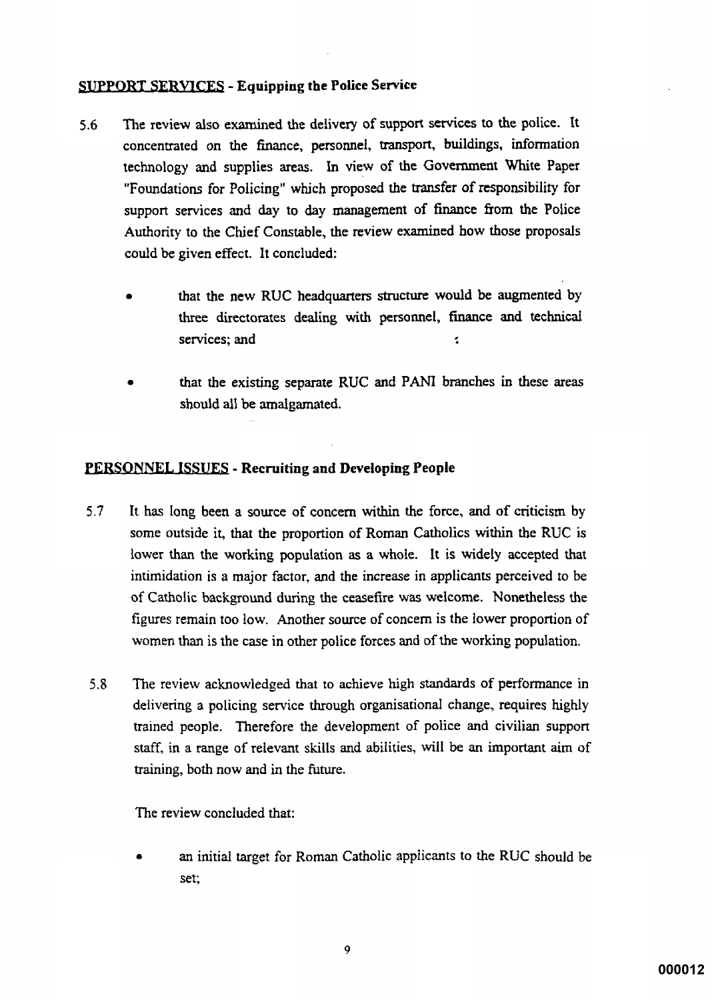## **SUPPORT SERVICES - Equipping the Police Service**

- The review also examined the delivery of support services to the police. It  $5.6$ concentrated on the finance, personnel, transport, buildings, information technology and supplies areas. In view of the Government White Paper "Foundations for Policing" which proposed the transfer of responsibility for support services and day to day management of finance from the Police Authority to the Chief Constable, the review examined how those proposals could be given effect. It concluded:
	- that the new RUC headquarters structure would be augmented by three directorates dealing with personnel, finance and technical services: and š.
	- that the existing separate RUC and PANI branches in these areas should all be amalgamated.

## **PERSONNEL ISSUES - Recruiting and Developing People**

- $5.7$ It has long been a source of concern within the force, and of criticism by some outside it, that the proportion of Roman Catholics within the RUC is lower than the working population as a whole. It is widely accepted that intimidation is a major factor, and the increase in applicants perceived to be of Catholic background during the ceasefire was welcome. Nonetheless the figures remain too low. Another source of concern is the lower proportion of women than is the case in other police forces and of the working population.
- The review acknowledged that to achieve high standards of performance in  $5.8$ delivering a policing service through organisational change, requires highly trained people. Therefore the development of police and civilian support staff, in a range of relevant skills and abilities, will be an important aim of training, both now and in the future.

The review concluded that:

an initial target for Roman Catholic applicants to the RUC should be set: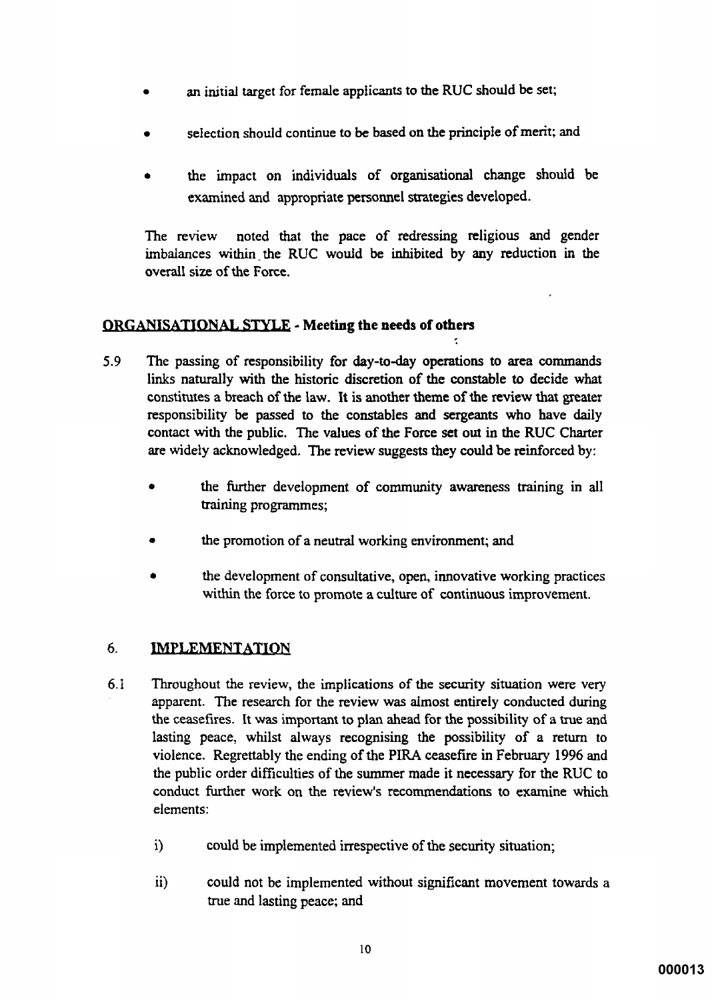- an initial target for female applicants to the RUC should be set;
- selection should continue to be based on the principle of merit; and
- the impact on individuals of organisational change should be examined and appropriate personnel strategies developed.

noted that the pace of redressing religious and gender The review imbalances within the RUC would be inhibited by any reduction in the overall size of the Force

## ORGANISATIONAL STYLE - Meeting the needs of others

- 5.9 The passing of responsibility for day-to-day operations to area commands links naturally with the historic discretion of the constable to decide what constitutes a breach of the law. It is another theme of the review that greater responsibility be passed to the constables and sergeants who have daily contact with the public. The values of the Force set out in the RUC Charter are widely acknowledged. The review suggests they could be reinforced by:
	- the further development of community awareness training in all training programmes;
	- the promotion of a neutral working environment; and
	- the development of consultative, open, innovative working practices within the force to promote a culture of continuous improvement.

#### 6. **IMPLEMENTATION**

- 6.1 Throughout the review, the implications of the security situation were very apparent. The research for the review was almost entirely conducted during the ceasefires. It was important to plan ahead for the possibility of a true and lasting peace, whilst always recognising the possibility of a return to violence. Regrettably the ending of the PIRA ceasefire in February 1996 and the public order difficulties of the summer made it necessary for the RUC to conduct further work on the review's recommendations to examine which elements:
	- could be implemented irrespective of the security situation;  $i)$
	- could not be implemented without significant movement towards a  $\ddot{\mathbf{i}}$ true and lasting peace; and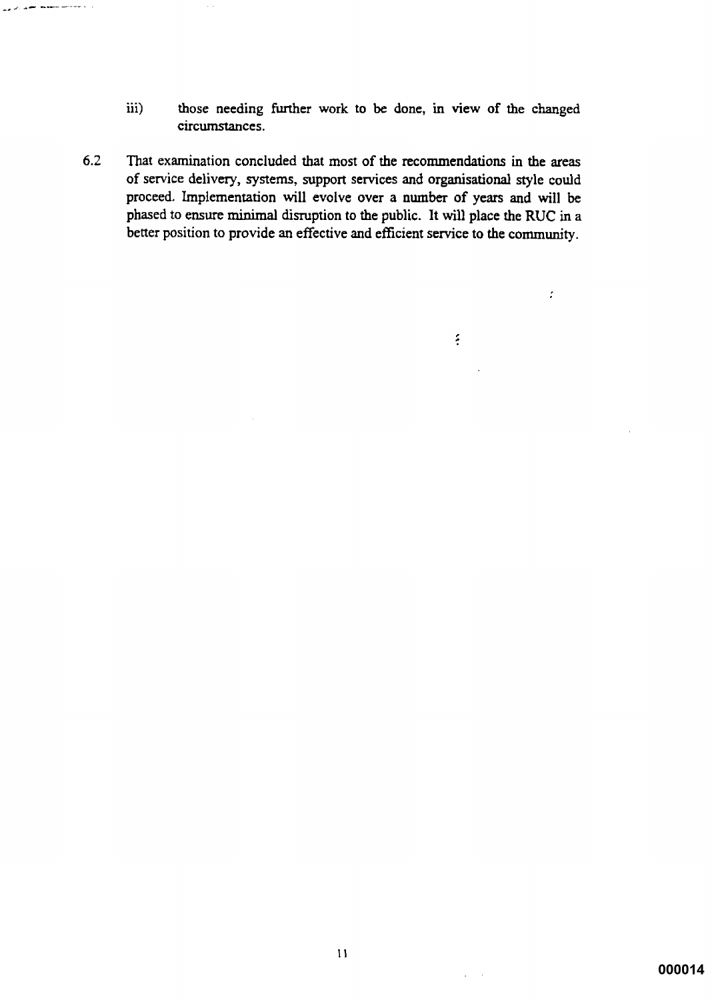$\ddot{\mathbf{m}}$ those needing further work to be done, in view of the changed circumstances.

 $\mathcal{L}$ 

 $\frac{1}{2}$ 

 $6.2$ That examination concluded that most of the recommendations in the areas of service delivery, systems, support services and organisational style could proceed. Implementation will evolve over a number of years and will be phased to ensure minimal disruption to the public. It will place the RUC in a better position to provide an effective and efficient service to the community.

المستحصل ومستعمل المتعايد والرابي

 $\varphi\in\mathcal{A}$